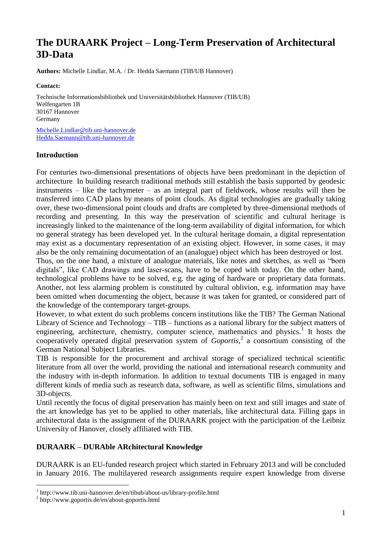# **The DURAARK Project – Long-Term Preservation of Architectural 3D-Data**

**Authors:** Michelle Lindlar, M.A. / Dr. Hedda Saemann (TIB/UB Hannover)

**Contact:** 

Technische Informationsbibliothek und Universitätsbibliothek Hannover (TIB/UB) Welfengarten 1B 30167 Hannover Germany [Michelle.Lindlar@tib.uni-hannover.de](mailto:Michelle.Lindlar@tib.uni-hannover.de) [Hedda.Saemann@tib.uni-hannover.de](mailto:Hedda.Saemann@tib.uni-hannover.de)

#### **Introduction**

For centuries two-dimensional presentations of objects have been predominant in the depiction of architecture. In building research traditional methods still establish the basis supported by geodesic instruments – like the tachymeter – as an integral part of fieldwork, whose results will then be transferred into CAD plans by means of point clouds. As digital technologies are gradually taking over, these two-dimensional point clouds and drafts are completed by three-dimensional methods of recording and presenting. In this way the preservation of scientific and cultural heritage is increasingly linked to the maintenance of the long-term availability of digital information, for which no general strategy has been developed yet. In the cultural heritage domain, a digital representation may exist as a documentary representation of an existing object. However, in some cases, it may also be the only remaining documentation of an (analogue) object which has been destroyed or lost. Thus, on the one hand, a mixture of analogue materials, like notes and sketches, as well as "born digitals", like CAD drawings and laser-scans, have to be coped with today. On the other hand, technological problems have to be solved, e.g. the aging of hardware or proprietary data formats.

Another, not less alarming problem is constituted by cultural oblivion, e.g. information may have been omitted when documenting the object, because it was taken for granted, or considered part of the knowledge of the contemporary target-groups.

However, to what extent do such problems concern institutions like the TIB? The German National Library of Science and Technology – TIB – functions as a national library for the subject matters of engineering, architecture, chemistry, computer science, mathematics and physics.<sup>1</sup> It hosts the cooperatively operated digital preservation system of *Goportis*, 2 a consortium consisting of the German National Subject Libraries.

TIB is responsible for the procurement and archival storage of specialized technical scientific literature from all over the world, providing the national and international research community and the industry with in-depth information. In addition to textual documents TIB is engaged in many different kinds of media such as research data, software, as well as scientific films, simulations and 3D-objects.

Until recently the focus of digital preservation has mainly been on text and still images and state of the art knowledge has yet to be applied to other materials, like architectural data. Filling gaps in architectural data is the assignment of the DURAARK project with the participation of the Leibniz University of Hanover, closely affiliated with TIB.

## **DURAARK – DURAble ARchitectural Knowledge**

DURAARK is an EU-funded research project which started in February 2013 and will be concluded in January 2016. The multilayered research assignments require expert knowledge from diverse

<u>.</u>

<sup>1</sup> http://www.tib.uni-hannover.de/en/tibub/about-us/library-profile.html

<sup>2</sup> http://www.goportis.de/en/about-goportis.html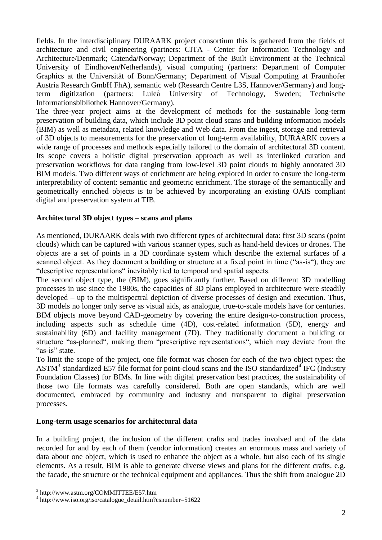fields. In the interdisciplinary DURAARK project consortium this is gathered from the fields of architecture and civil engineering (partners: CITA - Center for Information Technology and Architecture/Denmark; Catenda/Norway; Department of the Built Environment at the Technical University of Eindhoven/Netherlands), visual computing (partners: Department of Computer Graphics at the Universität of Bonn/Germany; Department of Visual Computing at Fraunhofer Austria Research GmbH FhA), semantic web (Research Centre L3S, Hannover/Germany) and longterm digitization (partners: Luleå University of Technology, Sweden; Technische Informationsbibliothek Hannover/Germany).

The three-year project aims at the development of methods for the sustainable long-term preservation of building data, which include 3D point cloud scans and building information models (BIM) as well as metadata, related knowledge and Web data. From the ingest, storage and retrieval of 3D objects to measurements for the preservation of long-term availability, DURAARK covers a wide range of processes and methods especially tailored to the domain of architectural 3D content. Its scope covers a holistic digital preservation approach as well as interlinked curation and preservation workflows for data ranging from low-level 3D point clouds to highly annotated 3D BIM models. Two different ways of enrichment are being explored in order to ensure the long-term interpretability of content: semantic and geometric enrichment. The storage of the semantically and geometrically enriched objects is to be achieved by incorporating an existing OAIS compliant digital and preservation system at TIB.

## **Architectural 3D object types – scans and plans**

As mentioned, DURAARK deals with two different types of architectural data: first 3D scans (point clouds) which can be captured with various scanner types, such as hand-held devices or drones. The objects are a set of points in a 3D coordinate system which describe the external surfaces of a scanned object. As they document a building or structure at a fixed point in time ("as-is"), they are "descriptive representations" inevitably tied to temporal and spatial aspects.

The second object type, the (BIM), goes significantly further. Based on different 3D modelling processes in use since the 1980s, the capacities of 3D plans employed in architecture were steadily developed – up to the multispectral depiction of diverse processes of design and execution. Thus, 3D models no longer only serve as visual aids, as analogue, true-to-scale models have for centuries. BIM objects move beyond CAD-geometry by covering the entire design-to-construction process, including aspects such as schedule time (4D), cost-related information (5D), energy and sustainability (6D) and facility management (7D). They traditionally document a building or structure "as-planned", making them "prescriptive representations", which may deviate from the "as-is" state.

To limit the scope of the project, one file format was chosen for each of the two object types: the  $\text{ASTM}^3$  standardized E57 file format for point-cloud scans and the ISO standardized<sup>4</sup> IFC (Industry Foundation Classes) for BIMs. In line with digital preservation best practices, the sustainability of those two file formats was carefully considered. Both are open standards, which are well documented, embraced by community and industry and transparent to digital preservation processes.

#### **Long-term usage scenarios for architectural data**

In a building project, the inclusion of the different crafts and trades involved and of the data recorded for and by each of them (vendor information) creates an enormous mass and variety of data about one object, which is used to enhance the object as a whole, but also each of its single elements. As a result, BIM is able to generate diverse views and plans for the different crafts, e.g. the facade, the structure or the technical equipment and appliances. Thus the shift from analogue 2D

<u>.</u>

<sup>3</sup> http://www.astm.org/COMMITTEE/E57.htm

<sup>4</sup> http://www.iso.org/iso/catalogue\_detail.htm?csnumber=51622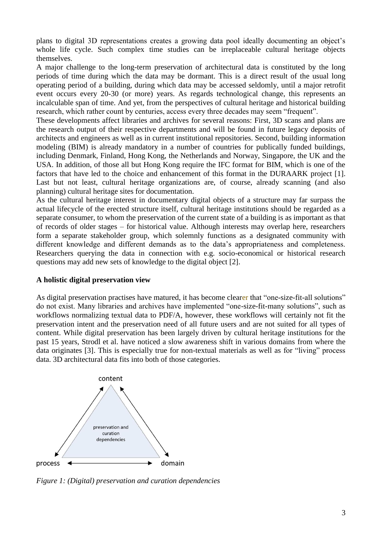plans to digital 3D representations creates a growing data pool ideally documenting an object's whole life cycle. Such complex time studies can be irreplaceable cultural heritage objects themselves.

A major challenge to the long-term preservation of architectural data is constituted by the long periods of time during which the data may be dormant. This is a direct result of the usual long operating period of a building, during which data may be accessed seldomly, until a major retrofit event occurs every 20-30 (or more) years. As regards technological change, this represents an incalculable span of time. And yet, from the perspectives of cultural heritage and historical building research, which rather count by centuries, access every three decades may seem "frequent".

These developments affect libraries and archives for several reasons: First, 3D scans and plans are the research output of their respective departments and will be found in future legacy deposits of architects and engineers as well as in current institutional repositories. Second, building information modeling (BIM) is already mandatory in a number of countries for publically funded buildings, including Denmark, Finland, Hong Kong, the Netherlands and Norway, Singapore, the UK and the USA. In addition, of those all but Hong Kong require the IFC format for BIM, which is one of the factors that have led to the choice and enhancement of this format in the DURAARK project [1]. Last but not least, cultural heritage organizations are, of course, already scanning (and also planning) cultural heritage sites for documentation.

As the cultural heritage interest in documentary digital objects of a structure may far surpass the actual lifecycle of the erected structure itself, cultural heritage institutions should be regarded as a separate consumer, to whom the preservation of the current state of a building is as important as that of records of older stages – for historical value. Although interests may overlap here, researchers form a separate stakeholder group, which solemnly functions as a designated community with different knowledge and different demands as to the data's appropriateness and completeness. Researchers querying the data in connection with e.g. socio-economical or historical research questions may add new sets of knowledge to the digital object [2].

#### **A holistic digital preservation view**

As digital preservation practises have matured, it has become clearer that "one-size-fit-all solutions" do not exist. Many libraries and archives have implemented "one-size-fit-many solutions", such as workflows normalizing textual data to PDF/A, however, these workflows will certainly not fit the preservation intent and the preservation need of all future users and are not suited for all types of content. While digital preservation has been largely driven by cultural heritage institutions for the past 15 years, Strodl et al. have noticed a slow awareness shift in various domains from where the data originates [3]. This is especially true for non-textual materials as well as for "living" process data. 3D architectural data fits into both of those categories.



*Figure 1: (Digital) preservation and curation dependencies*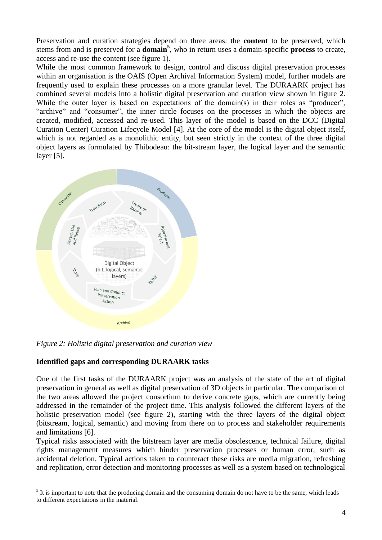Preservation and curation strategies depend on three areas: the **content** to be preserved, which stems from and is preserved for a **domain<sup>5</sup>** , who in return uses a domain-specific **process** to create, access and re-use the content (see figure 1).

While the most common framework to design, control and discuss digital preservation processes within an organisation is the OAIS (Open Archival Information System) model, further models are frequently used to explain these processes on a more granular level. The DURAARK project has combined several models into a holistic digital preservation and curation view shown in figure 2. While the outer layer is based on expectations of the domain(s) in their roles as "producer". "archive" and "consumer", the inner circle focuses on the processes in which the objects are created, modified, accessed and re-used. This layer of the model is based on the DCC (Digital Curation Center) Curation Lifecycle Model [4]. At the core of the model is the digital object itself, which is not regarded as a monolithic entity, but seen strictly in the context of the three digital object layers as formulated by Thibodeau: the bit-stream layer, the logical layer and the semantic layer [5].



*Figure 2: Holistic digital preservation and curation view*

## **Identified gaps and corresponding DURAARK tasks**

<u>.</u>

One of the first tasks of the DURAARK project was an analysis of the state of the art of digital preservation in general as well as digital preservation of 3D objects in particular. The comparison of the two areas allowed the project consortium to derive concrete gaps, which are currently being addressed in the remainder of the project time. This analysis followed the different layers of the holistic preservation model (see figure 2), starting with the three layers of the digital object (bitstream, logical, semantic) and moving from there on to process and stakeholder requirements and limitations [6].

Typical risks associated with the bitstream layer are media obsolescence, technical failure, digital rights management measures which hinder preservation processes or human error, such as accidental deletion. Typical actions taken to counteract these risks are media migration, refreshing and replication, error detection and monitoring processes as well as a system based on technological

 $<sup>5</sup>$  It is important to note that the producing domain and the consuming domain do not have to be the same, which leads</sup> to different expectations in the material.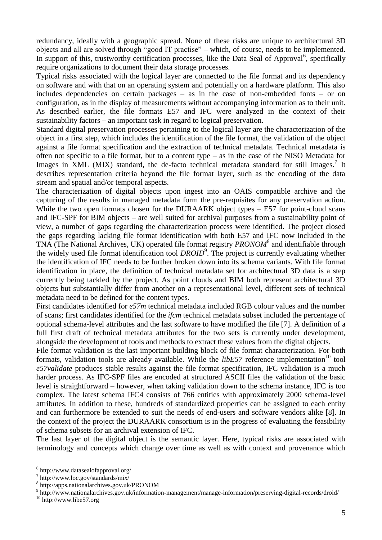redundancy, ideally with a geographic spread. None of these risks are unique to architectural 3D objects and all are solved through "good IT practise" – which, of course, needs to be implemented. In support of this, trustworthy certification processes, like the Data Seal of Approval<sup>6</sup>, specifically require organizations to document their data storage processes.

Typical risks associated with the logical layer are connected to the file format and its dependency on software and with that on an operating system and potentially on a hardware platform. This also includes dependencies on certain packages – as in the case of non-embedded fonts – or on configuration, as in the display of measurements without accompanying information as to their unit. As described earlier, the file formats E57 and IFC were analyzed in the context of their sustainability factors – an important task in regard to logical preservation.

Standard digital preservation processes pertaining to the logical layer are the characterization of the object in a first step, which includes the identification of the file format, the validation of the object against a file format specification and the extraction of technical metadata. Technical metadata is often not specific to a file format, but to a content type – as in the case of the NISO Metadata for Images in XML (MIX) standard, the de-facto technical metadata standard for still images.<sup>7</sup> It describes representation criteria beyond the file format layer, such as the encoding of the data stream and spatial and/or temporal aspects.

The characterization of digital objects upon ingest into an OAIS compatible archive and the capturing of the results in managed metadata form the pre-requisites for any preservation action. While the two open formats chosen for the DURAARK object types – E57 for point-cloud scans and IFC-SPF for BIM objects – are well suited for archival purposes from a sustainability point of view, a number of gaps regarding the characterization process were identified. The project closed the gaps regarding lacking file format identification with both E57 and IFC now included in the TNA (The National Archives, UK) operated file format registry *PRONOM*<sup>8</sup> and identifiable through the widely used file format identification tool *DROID*<sup>9</sup> . The project is currently evaluating whether the identification of IFC needs to be further broken down into its schema variants. With file format identification in place, the definition of technical metadata set for architectural 3D data is a step currently being tackled by the project. As point clouds and BIM both represent architectural 3D objects but substantially differ from another on a representational level, different sets of technical metadata need to be defined for the content types.

First candidates identified for *e57m* technical metadata included RGB colour values and the number of scans; first candidates identified for the *ifcm* technical metadata subset included the percentage of optional schema-level attributes and the last software to have modified the file [7]. A definition of a full first draft of technical metadata attributes for the two sets is currently under development, alongside the development of tools and methods to extract these values from the digital objects.

File format validation is the last important building block of file format characterization. For both formats, validation tools are already available. While the  $libE57$  reference implementation<sup>10</sup> tool *e57validate* produces stable results against the file format specification, IFC validation is a much harder process. As IFC-SPF files are encoded at structured ASCII files the validation of the basic level is straightforward – however, when taking validation down to the schema instance, IFC is too complex. The latest schema IFC4 consists of 766 entities with approximately 2000 schema-level attributes. In addition to these, hundreds of standardized properties can be assigned to each entity and can furthermore be extended to suit the needs of end-users and software vendors alike [8]. In the context of the project the DURAARK consortium is in the progress of evaluating the feasibility of schema subsets for an archival extension of IFC.

The last layer of the digital object is the semantic layer. Here, typical risks are associated with terminology and concepts which change over time as well as with context and provenance which

1

<sup>6</sup> http://www.datasealofapproval.org/

<sup>7</sup> http://www.loc.gov/standards/mix/

<sup>8</sup> http://apps.nationalarchives.gov.uk/PRONOM

<sup>&</sup>lt;sup>9</sup> http://www.nationalarchives.gov.uk/information-management/manage-information/preserving-digital-records/droid/

<sup>10</sup> http://www.libe57.org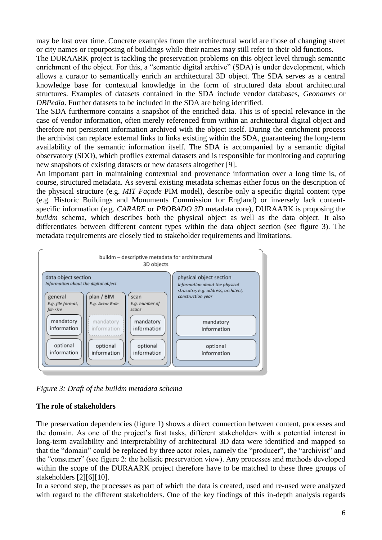may be lost over time. Concrete examples from the architectural world are those of changing street or city names or repurposing of buildings while their names may still refer to their old functions.

The DURAARK project is tackling the preservation problems on this object level through semantic enrichment of the object. For this, a "semantic digital archive" (SDA) is under development, which allows a curator to semantically enrich an architectural 3D object. The SDA serves as a central knowledge base for contextual knowledge in the form of structured data about architectural structures. Examples of datasets contained in the SDA include vendor databases, *Geonames* or *DBPedia*. Further datasets to be included in the SDA are being identified.

The SDA furthermore contains a snapshot of the enriched data. This is of special relevance in the case of vendor information, often merely referenced from within an architectural digital object and therefore not persistent information archived with the object itself. During the enrichment process the archivist can replace external links to links existing within the SDA, guaranteeing the long-term availability of the semantic information itself. The SDA is accompanied by a semantic digital observatory (SDO), which profiles external datasets and is responsible for monitoring and capturing new snapshots of existing datasets or new datasets altogether [9].

An important part in maintaining contextual and provenance information over a long time is, of course, structured metadata. As several existing metadata schemas either focus on the description of the physical structure (e.g. *MIT Façade* PIM model), describe only a specific digital content type (e.g. Historic Buildings and Monuments Commission for England) or inversely lack contentspecific information (e.g. *CARARE* or *PROBADO 3D* metadata core), DURAARK is proposing the *buildm* schema, which describes both the physical object as well as the data object. It also differentiates between different content types within the data object section (see figure 3). The metadata requirements are closely tied to stakeholder requirements and limitations.



*Figure 3: Draft of the buildm metadata schema*

# **The role of stakeholders**

The preservation dependencies (figure 1) shows a direct connection between content, processes and the domain. As one of the project's first tasks, different stakeholders with a potential interest in long-term availability and interpretability of architectural 3D data were identified and mapped so that the "domain" could be replaced by three actor roles, namely the "producer", the "archivist" and the "consumer" (see figure 2: the holistic preservation view). Any processes and methods developed within the scope of the DURAARK project therefore have to be matched to these three groups of stakeholders [2][6][10].

In a second step, the processes as part of which the data is created, used and re-used were analyzed with regard to the different stakeholders. One of the key findings of this in-depth analysis regards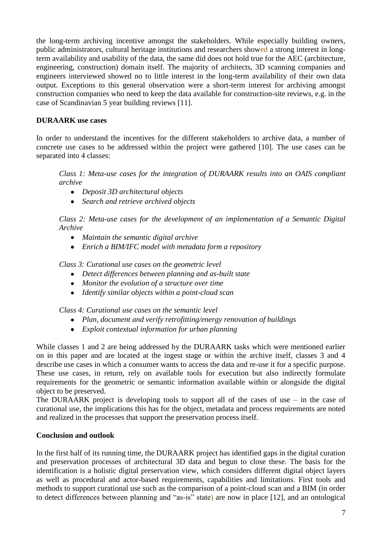the long-term archiving incentive amongst the stakeholders. While especially building owners, public administrators, cultural heritage institutions and researchers showed a strong interest in longterm availability and usability of the data, the same did does not hold true for the AEC (architecture, engineering, construction) domain itself. The majority of architects, 3D scanning companies and engineers interviewed showed no to little interest in the long-term availability of their own data output. Exceptions to this general observation were a short-term interest for archiving amongst construction companies who need to keep the data available for construction-site reviews, e.g. in the case of Scandinavian 5 year building reviews [11].

# **DURAARK use cases**

In order to understand the incentives for the different stakeholders to archive data, a number of concrete use cases to be addressed within the project were gathered [10]. The use cases can be separated into 4 classes:

*Class 1: Meta-use cases for the integration of DURAARK results into an OAIS compliant archive*

- *Deposit 3D architectural objects*
- *Search and retrieve archived objects*

*Class 2: Meta-use cases for the development of an implementation of a Semantic Digital Archive*

- *Maintain the semantic digital archive*
- *Enrich a BIM/IFC model with metadata form a repository*

*Class 3: Curational use cases on the geometric level*

- *Detect differences between planning and as-built state*
- *Monitor the evolution of a structure over time*
- *Identify similar objects within a point-cloud scan*

*Class 4: Curational use cases on the semantic level*

- *Plan, document and verify retrofitting/energy renovation of buildings*
- *Exploit contextual information for urban planning*

While classes 1 and 2 are being addressed by the DURAARK tasks which were mentioned earlier on in this paper and are located at the ingest stage or within the archive itself, classes 3 and 4 describe use cases in which a consumer wants to access the data and re-use it for a specific purpose. These use cases, in return, rely on available tools for execution but also indirectly formulate requirements for the geometric or semantic information available within or alongside the digital object to be preserved.

The DURAARK project is developing tools to support all of the cases of use – in the case of curational use, the implications this has for the object, metadata and process requirements are noted and realized in the processes that support the preservation process itself.

## **Conclusion and outlook**

In the first half of its running time, the DURAARK project has identified gaps in the digital curation and preservation processes of architectural 3D data and begun to close these. The basis for the identification is a holistic digital preservation view, which considers different digital object layers as well as procedural and actor-based requirements, capabilities and limitations. First tools and methods to support curational use such as the comparison of a point-cloud scan and a BIM (in order to detect differences between planning and "as-is" state) are now in place [12], and an ontological